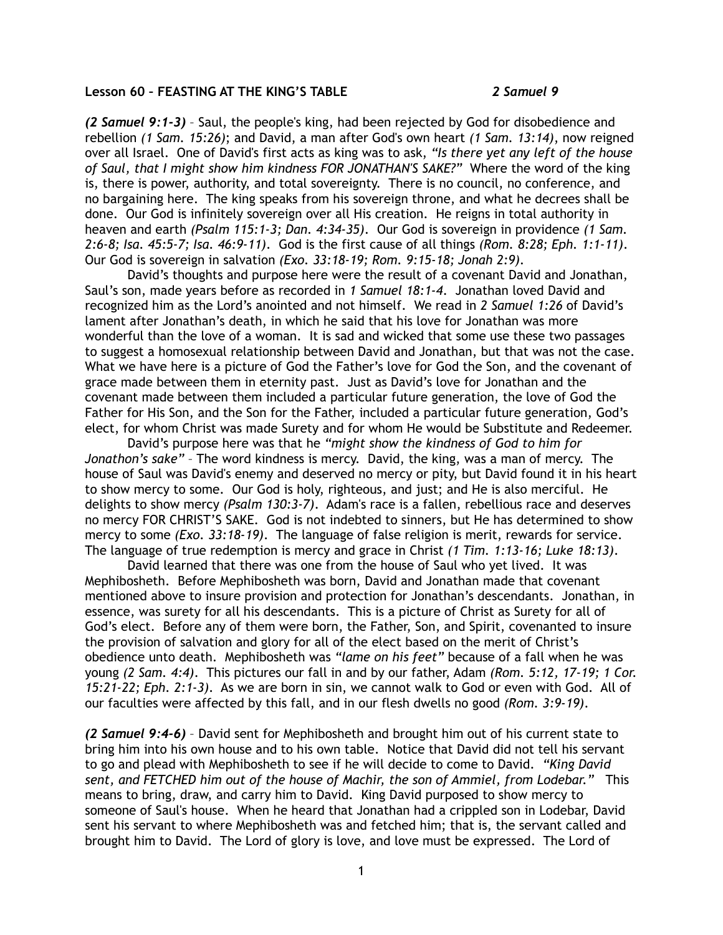## **Lesson 60 – FEASTING AT THE KING'S TABLE** *2 Samuel 9*

*(2 Samuel 9:1-3)* – Saul, the people's king, had been rejected by God for disobedience and rebellion *(1 Sam. 15:26)*; and David, a man after God's own heart *(1 Sam. 13:14)*, now reigned over all Israel. One of David's first acts as king was to ask, *"Is there yet any left of the house of Saul, that I might show him kindness FOR JONATHAN'S SAKE?"* Where the word of the king is, there is power, authority, and total sovereignty. There is no council, no conference, and no bargaining here. The king speaks from his sovereign throne, and what he decrees shall be done. Our God is infinitely sovereign over all His creation. He reigns in total authority in heaven and earth *(Psalm 115:1-3; Dan. 4:34-35)*. Our God is sovereign in providence *(1 Sam. 2:6-8; Isa. 45:5-7; Isa. 46:9-11)*. God is the first cause of all things *(Rom. 8:28; Eph. 1:1-11)*. Our God is sovereign in salvation *(Exo. 33:18-19; Rom. 9:15-18; Jonah 2:9)*.

David's thoughts and purpose here were the result of a covenant David and Jonathan, Saul's son, made years before as recorded in *1 Samuel 18:1-4*. Jonathan loved David and recognized him as the Lord's anointed and not himself. We read in *2 Samuel 1:26* of David's lament after Jonathan's death, in which he said that his love for Jonathan was more wonderful than the love of a woman. It is sad and wicked that some use these two passages to suggest a homosexual relationship between David and Jonathan, but that was not the case. What we have here is a picture of God the Father's love for God the Son, and the covenant of grace made between them in eternity past. Just as David's love for Jonathan and the covenant made between them included a particular future generation, the love of God the Father for His Son, and the Son for the Father, included a particular future generation, God's elect, for whom Christ was made Surety and for whom He would be Substitute and Redeemer.

David's purpose here was that he *"might show the kindness of God to him for Jonathon's sake"* – The word kindness is mercy. David, the king, was a man of mercy. The house of Saul was David's enemy and deserved no mercy or pity, but David found it in his heart to show mercy to some. Our God is holy, righteous, and just; and He is also merciful. He delights to show mercy *(Psalm 130:3-7)*. Adam's race is a fallen, rebellious race and deserves no mercy FOR CHRIST'S SAKE. God is not indebted to sinners, but He has determined to show mercy to some *(Exo. 33:18-19)*. The language of false religion is merit, rewards for service. The language of true redemption is mercy and grace in Christ *(1 Tim. 1:13-16; Luke 18:13)*.

David learned that there was one from the house of Saul who yet lived. It was Mephibosheth. Before Mephibosheth was born, David and Jonathan made that covenant mentioned above to insure provision and protection for Jonathan's descendants. Jonathan, in essence, was surety for all his descendants. This is a picture of Christ as Surety for all of God's elect. Before any of them were born, the Father, Son, and Spirit, covenanted to insure the provision of salvation and glory for all of the elect based on the merit of Christ's obedience unto death. Mephibosheth was *"lame on his feet"* because of a fall when he was young *(2 Sam. 4:4)*. This pictures our fall in and by our father, Adam *(Rom. 5:12, 17-19; 1 Cor. 15:21-22; Eph. 2:1-3)*. As we are born in sin, we cannot walk to God or even with God. All of our faculties were affected by this fall, and in our flesh dwells no good *(Rom. 3:9-19)*.

*(2 Samuel 9:4-6)* – David sent for Mephibosheth and brought him out of his current state to bring him into his own house and to his own table. Notice that David did not tell his servant to go and plead with Mephibosheth to see if he will decide to come to David. *"King David sent, and FETCHED him out of the house of Machir, the son of Ammiel, from Lodebar."* This means to bring, draw, and carry him to David. King David purposed to show mercy to someone of Saul's house. When he heard that Jonathan had a crippled son in Lodebar, David sent his servant to where Mephibosheth was and fetched him; that is, the servant called and brought him to David. The Lord of glory is love, and love must be expressed. The Lord of